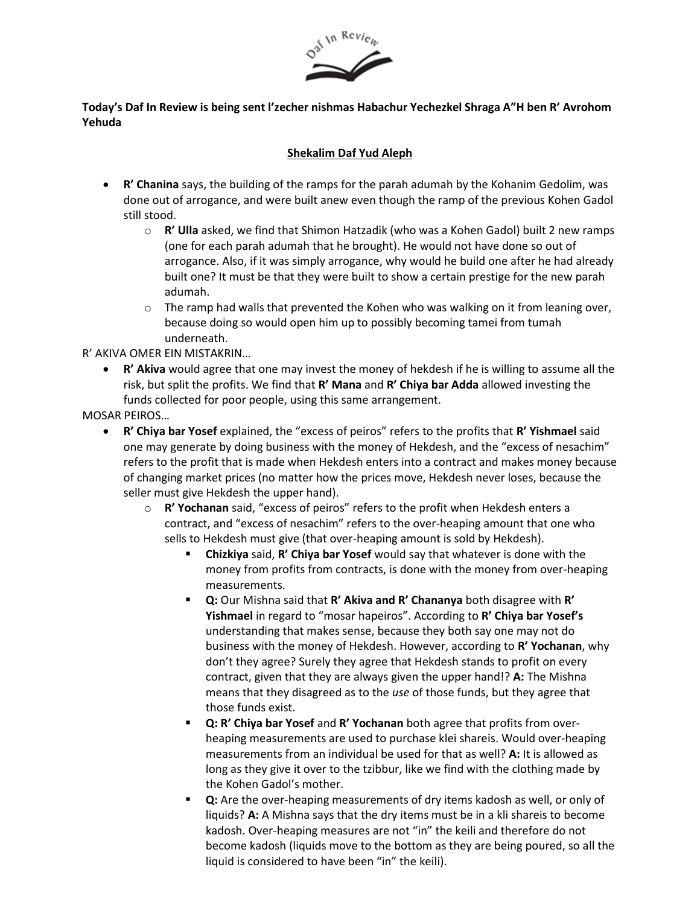

## **Today's Daf In Review is being sent l'zecher nishmas Habachur Yechezkel Shraga A"H ben R' Avrohom Yehuda**

## **Shekalim Daf Yud Aleph**

- **R' Chanina** says, the building of the ramps for the parah adumah by the Kohanim Gedolim, was done out of arrogance, and were built anew even though the ramp of the previous Kohen Gadol still stood.
	- o **R' Ulla** asked, we find that Shimon Hatzadik (who was a Kohen Gadol) built 2 new ramps (one for each parah adumah that he brought). He would not have done so out of arrogance. Also, if it was simply arrogance, why would he build one after he had already built one? It must be that they were built to show a certain prestige for the new parah adumah.
	- $\circ$  The ramp had walls that prevented the Kohen who was walking on it from leaning over, because doing so would open him up to possibly becoming tamei from tumah underneath.

R' AKIVA OMER EIN MISTAKRIN…

• **R' Akiva** would agree that one may invest the money of hekdesh if he is willing to assume all the risk, but split the profits. We find that **R' Mana** and **R' Chiya bar Adda** allowed investing the funds collected for poor people, using this same arrangement.

MOSAR PEIROS…

- **R' Chiya bar Yosef** explained, the "excess of peiros" refers to the profits that **R' Yishmael** said one may generate by doing business with the money of Hekdesh, and the "excess of nesachim" refers to the profit that is made when Hekdesh enters into a contract and makes money because of changing market prices (no matter how the prices move, Hekdesh never loses, because the seller must give Hekdesh the upper hand).
	- o **R' Yochanan** said, "excess of peiros" refers to the profit when Hekdesh enters a contract, and "excess of nesachim" refers to the over-heaping amount that one who sells to Hekdesh must give (that over-heaping amount is sold by Hekdesh).
		- **Chizkiya** said, **R' Chiya bar Yosef** would say that whatever is done with the money from profits from contracts, is done with the money from over-heaping measurements.
		- **Q:** Our Mishna said that **R' Akiva and R' Chananya** both disagree with **R' Yishmael** in regard to "mosar hapeiros". According to **R' Chiya bar Yosef's** understanding that makes sense, because they both say one may not do business with the money of Hekdesh. However, according to **R' Yochanan**, why don't they agree? Surely they agree that Hekdesh stands to profit on every contract, given that they are always given the upper hand!? **A:** The Mishna means that they disagreed as to the *use* of those funds, but they agree that those funds exist.
		- Q: R' Chiya bar Yosef and R' Yochanan both agree that profits from overheaping measurements are used to purchase klei shareis. Would over-heaping measurements from an individual be used for that as well? **A:** It is allowed as long as they give it over to the tzibbur, like we find with the clothing made by the Kohen Gadol's mother.
		- **Q:** Are the over-heaping measurements of dry items kadosh as well, or only of liquids? **A:** A Mishna says that the dry items must be in a kli shareis to become kadosh. Over-heaping measures are not "in" the keili and therefore do not become kadosh (liquids move to the bottom as they are being poured, so all the liquid is considered to have been "in" the keili).